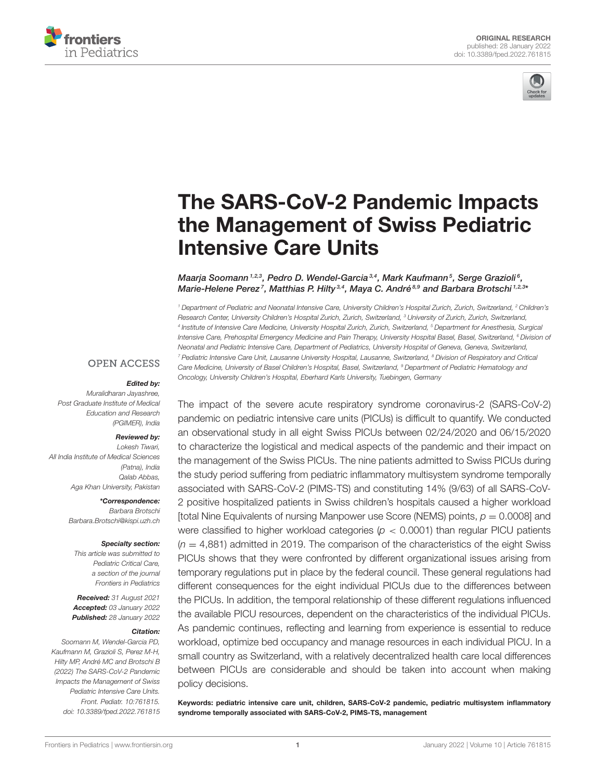



# The SARS-CoV-2 Pandemic Impacts [the Management of Swiss Pediatric](https://www.frontiersin.org/articles/10.3389/fped.2022.761815/full) Intensive Care Units

#### Maarja Soomann $^{1,2,3}$ , Pedro D. Wendel-Garcia $^{3,4}$ , Mark Kaufmann $^5$ , Serge Grazioli $^6$ , Marie-Helene Perez<sup>7</sup>, Matthias P. Hilty<sup>3,4</sup>, Maya C. André<sup>8,9</sup> and Barbara Brotschi <sup>1,2,3</sup>'

<sup>1</sup> Department of Pediatric and Neonatal Intensive Care, University Children's Hospital Zurich, Zurich, Switzerland, <sup>2</sup> Children's Research Center, University Children's Hospital Zurich, Zurich, Switzerland, <sup>3</sup> University of Zurich, Zurich, Switzerland, 4 Institute of Intensive Care Medicine, University Hospital Zurich, Zurich, Switzerland, <sup>5</sup> Department for Anesthesia, Surgical Intensive Care, Prehospital Emergency Medicine and Pain Therapy, University Hospital Basel, Basel, Switzerland, <sup>6</sup> Division of Neonatal and Pediatric Intensive Care, Department of Pediatrics, University Hospital of Geneva, Geneva, Switzerland, <sup>7</sup> Pediatric Intensive Care Unit, Lausanne University Hospital, Lausanne, Switzerland, <sup>8</sup> Division of Respiratory and Critical Care Medicine, University of Basel Children's Hospital, Basel, Switzerland, <sup>9</sup> Department of Pediatric Hematology and Oncology, University Children's Hospital, Eberhard Karls University, Tuebingen, Germany

#### **OPEN ACCESS**

#### Edited by:

Muralidharan Jayashree, Post Graduate Institute of Medical Education and Research (PGIMER), India

#### Reviewed by:

Lokesh Tiwari, All India Institute of Medical Sciences (Patna), India Qalab Abbas, Aga Khan University, Pakistan

> \*Correspondence: Barbara Brotschi [Barbara.Brotschi@kispi.uzh.ch](mailto:Barbara.Brotschi@kispi.uzh.ch)

#### Specialty section:

This article was submitted to Pediatric Critical Care, a section of the journal Frontiers in Pediatrics

Received: 31 August 2021 Accepted: 03 January 2022 Published: 28 January 2022

#### Citation:

Soomann M, Wendel-Garcia PD, Kaufmann M, Grazioli S, Perez M-H, Hilty MP, André MC and Brotschi B (2022) The SARS-CoV-2 Pandemic Impacts the Management of Swiss Pediatric Intensive Care Units. Front. Pediatr. 10:761815. doi: [10.3389/fped.2022.761815](https://doi.org/10.3389/fped.2022.761815) The impact of the severe acute respiratory syndrome coronavirus-2 (SARS-CoV-2) pandemic on pediatric intensive care units (PICUs) is difficult to quantify. We conducted an observational study in all eight Swiss PICUs between 02/24/2020 and 06/15/2020 to characterize the logistical and medical aspects of the pandemic and their impact on the management of the Swiss PICUs. The nine patients admitted to Swiss PICUs during the study period suffering from pediatric inflammatory multisystem syndrome temporally associated with SARS-CoV-2 (PIMS-TS) and constituting 14% (9/63) of all SARS-CoV-2 positive hospitalized patients in Swiss children's hospitals caused a higher workload [total Nine Equivalents of nursing Manpower use Score (NEMS) points,  $p = 0.0008$ ] and were classified to higher workload categories ( $p < 0.0001$ ) than regular PICU patients  $(n = 4,881)$  admitted in 2019. The comparison of the characteristics of the eight Swiss PICUs shows that they were confronted by different organizational issues arising from temporary regulations put in place by the federal council. These general regulations had different consequences for the eight individual PICUs due to the differences between the PICUs. In addition, the temporal relationship of these different regulations influenced the available PICU resources, dependent on the characteristics of the individual PICUs. As pandemic continues, reflecting and learning from experience is essential to reduce workload, optimize bed occupancy and manage resources in each individual PICU. In a small country as Switzerland, with a relatively decentralized health care local differences between PICUs are considerable and should be taken into account when making policy decisions.

Keywords: pediatric intensive care unit, children, SARS-CoV-2 pandemic, pediatric multisystem inflammatory syndrome temporally associated with SARS-CoV-2, PIMS-TS, management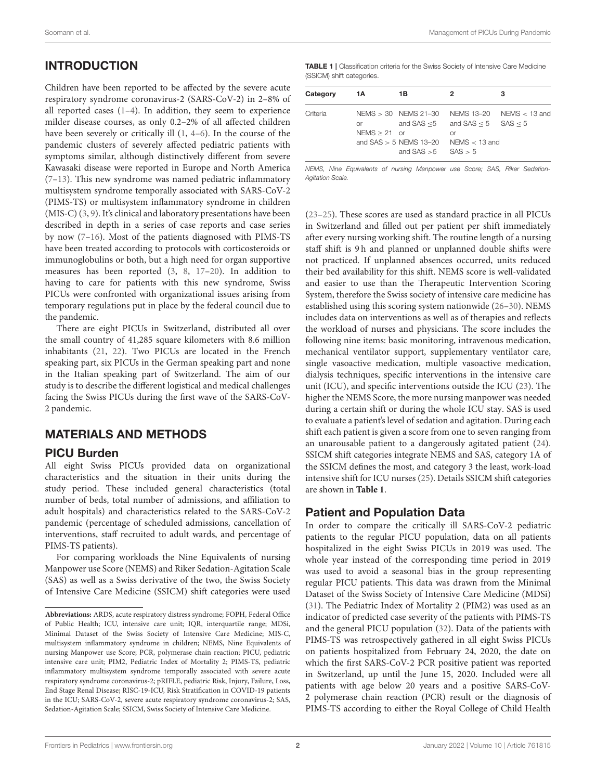# INTRODUCTION

Children have been reported to be affected by the severe acute respiratory syndrome coronavirus-2 (SARS-CoV-2) in 2–8% of all reported cases  $(1-4)$ . In addition, they seem to experience milder disease courses, as only 0.2–2% of all affected children have been severely or critically ill [\(1,](#page-5-0) [4](#page-5-1)[–6\)](#page-5-2). In the course of the pandemic clusters of severely affected pediatric patients with symptoms similar, although distinctively different from severe Kawasaki disease were reported in Europe and North America [\(7–](#page-5-3)[13\)](#page-6-0). This new syndrome was named pediatric inflammatory multisystem syndrome temporally associated with SARS-CoV-2 (PIMS-TS) or multisystem inflammatory syndrome in children (MIS-C) [\(3,](#page-5-4) [9\)](#page-5-5). It's clinical and laboratory presentations have been described in depth in a series of case reports and case series by now [\(7](#page-5-3)[–16\)](#page-6-1). Most of the patients diagnosed with PIMS-TS have been treated according to protocols with corticosteroids or immunoglobulins or both, but a high need for organ supportive measures has been reported [\(3,](#page-5-4) [8,](#page-5-6) [17–](#page-6-2)[20\)](#page-6-3). In addition to having to care for patients with this new syndrome, Swiss PICUs were confronted with organizational issues arising from temporary regulations put in place by the federal council due to the pandemic.

There are eight PICUs in Switzerland, distributed all over the small country of 41,285 square kilometers with 8.6 million inhabitants [\(21,](#page-6-4) [22\)](#page-6-5). Two PICUs are located in the French speaking part, six PICUs in the German speaking part and none in the Italian speaking part of Switzerland. The aim of our study is to describe the different logistical and medical challenges facing the Swiss PICUs during the first wave of the SARS-CoV-2 pandemic.

# MATERIALS AND METHODS

#### PICU Burden

All eight Swiss PICUs provided data on organizational characteristics and the situation in their units during the study period. These included general characteristics (total number of beds, total number of admissions, and affiliation to adult hospitals) and characteristics related to the SARS-CoV-2 pandemic (percentage of scheduled admissions, cancellation of interventions, staff recruited to adult wards, and percentage of PIMS-TS patients).

For comparing workloads the Nine Equivalents of nursing Manpower use Score (NEMS) and Riker Sedation-Agitation Scale (SAS) as well as a Swiss derivative of the two, the Swiss Society of Intensive Care Medicine (SSICM) shift categories were used

<span id="page-1-0"></span>

| <b>TABLE 1</b>   Classification criteria for the Swiss Society of Intensive Care Medicine |
|-------------------------------------------------------------------------------------------|
| (SSICM) shift categories.                                                                 |

| Category | 1А                   | 1B                                                                            | 2                                                                       | з                          |
|----------|----------------------|-------------------------------------------------------------------------------|-------------------------------------------------------------------------|----------------------------|
| Criteria | or<br>$NEMS > 21$ or | $NEMS > 30$ NEMS 21-30<br>and $SAS > 5$ NEMS 13-20<br>and $SAS > 5$ $SAS > 5$ | and SAS $\leq$ 5 and SAS $\leq$ 5 SAS $\leq$ 5<br>or<br>NFMS $<$ 13 and | NEMS 13-20 NEMS $<$ 13 and |

NEMS, Nine Equivalents of nursing Manpower use Score; SAS, Riker Sedation-Agitation Scale.

[\(23](#page-6-6)[–25\)](#page-6-7). These scores are used as standard practice in all PICUs in Switzerland and filled out per patient per shift immediately after every nursing working shift. The routine length of a nursing staff shift is 9 h and planned or unplanned double shifts were not practiced. If unplanned absences occurred, units reduced their bed availability for this shift. NEMS score is well-validated and easier to use than the Therapeutic Intervention Scoring System, therefore the Swiss society of intensive care medicine has established using this scoring system nationwide [\(26–](#page-6-8)[30\)](#page-6-9). NEMS includes data on interventions as well as of therapies and reflects the workload of nurses and physicians. The score includes the following nine items: basic monitoring, intravenous medication, mechanical ventilator support, supplementary ventilator care, single vasoactive medication, multiple vasoactive medication, dialysis techniques, specific interventions in the intensive care unit (ICU), and specific interventions outside the ICU [\(23\)](#page-6-6). The higher the NEMS Score, the more nursing manpower was needed during a certain shift or during the whole ICU stay. SAS is used to evaluate a patient's level of sedation and agitation. During each shift each patient is given a score from one to seven ranging from an unarousable patient to a dangerously agitated patient [\(24\)](#page-6-10). SSICM shift categories integrate NEMS and SAS, category 1A of the SSICM defines the most, and category 3 the least, work-load intensive shift for ICU nurses [\(25\)](#page-6-7). Details SSICM shift categories are shown in **[Table 1](#page-1-0)**.

# Patient and Population Data

In order to compare the critically ill SARS-CoV-2 pediatric patients to the regular PICU population, data on all patients hospitalized in the eight Swiss PICUs in 2019 was used. The whole year instead of the corresponding time period in 2019 was used to avoid a seasonal bias in the group representing regular PICU patients. This data was drawn from the Minimal Dataset of the Swiss Society of Intensive Care Medicine (MDSi) [\(31\)](#page-6-11). The Pediatric Index of Mortality 2 (PIM2) was used as an indicator of predicted case severity of the patients with PIMS-TS and the general PICU population [\(32\)](#page-6-12). Data of the patients with PIMS-TS was retrospectively gathered in all eight Swiss PICUs on patients hospitalized from February 24, 2020, the date on which the first SARS-CoV-2 PCR positive patient was reported in Switzerland, up until the June 15, 2020. Included were all patients with age below 20 years and a positive SARS-CoV-2 polymerase chain reaction (PCR) result or the diagnosis of PIMS-TS according to either the Royal College of Child Health

**Abbreviations:** ARDS, acute respiratory distress syndrome; FOPH, Federal Office of Public Health; ICU, intensive care unit; IQR, interquartile range; MDSi, Minimal Dataset of the Swiss Society of Intensive Care Medicine; MIS-C, multisystem inflammatory syndrome in children; NEMS, Nine Equivalents of nursing Manpower use Score; PCR, polymerase chain reaction; PICU, pediatric intensive care unit; PIM2, Pediatric Index of Mortality 2; PIMS-TS, pediatric inflammatory multisystem syndrome temporally associated with severe acute respiratory syndrome coronavirus-2; pRIFLE, pediatric Risk, Injury, Failure, Loss, End Stage Renal Disease; RISC-19-ICU, Risk Stratification in COVID-19 patients in the ICU; SARS-CoV-2, severe acute respiratory syndrome coronavirus-2; SAS, Sedation-Agitation Scale; SSICM, Swiss Society of Intensive Care Medicine.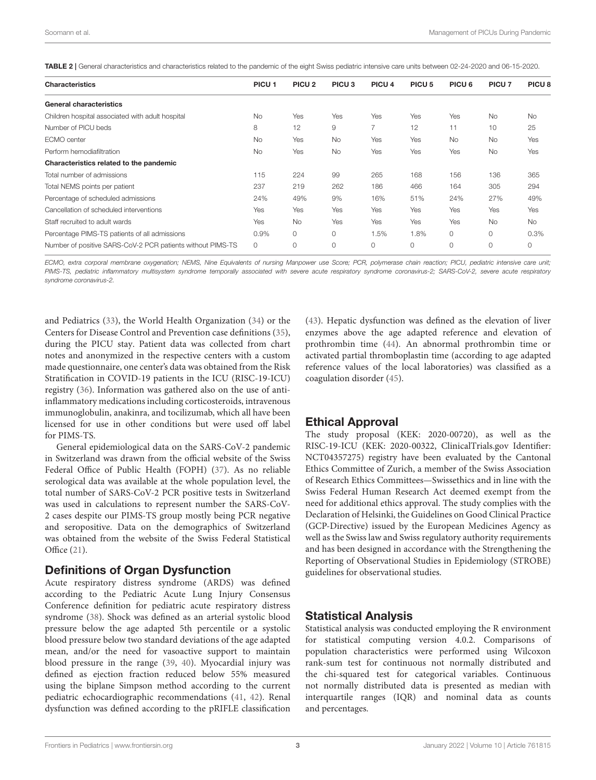<span id="page-2-0"></span>

| TABLE 2   General characteristics and characteristics related to the pandemic of the eight Swiss pediatric intensive care units between 02-24-2020 and 06-15-2020. |
|--------------------------------------------------------------------------------------------------------------------------------------------------------------------|
|--------------------------------------------------------------------------------------------------------------------------------------------------------------------|

| <b>Characteristics</b>                                     | PICU <sub>1</sub> | PICU <sub>2</sub> | PICU <sub>3</sub> | PICU <sub>4</sub> | PICU <sub>5</sub> | PICU <sub>6</sub> | PICU <sub>7</sub> | PICU <sub>8</sub> |
|------------------------------------------------------------|-------------------|-------------------|-------------------|-------------------|-------------------|-------------------|-------------------|-------------------|
| <b>General characteristics</b>                             |                   |                   |                   |                   |                   |                   |                   |                   |
| Children hospital associated with adult hospital           | <b>No</b>         | Yes               | Yes               | Yes               | Yes               | Yes               | <b>No</b>         | <b>No</b>         |
| Number of PICU beds                                        | 8                 | 12                | 9                 | $\overline{7}$    | 12                | 11                | 10                | 25                |
| ECMO center                                                | <b>No</b>         | Yes               | <b>No</b>         | Yes               | Yes               | <b>No</b>         | <b>No</b>         | Yes               |
| Perform hemodiafiltration                                  | <b>No</b>         | Yes               | <b>No</b>         | Yes               | Yes               | Yes               | <b>No</b>         | Yes               |
| Characteristics related to the pandemic                    |                   |                   |                   |                   |                   |                   |                   |                   |
| Total number of admissions                                 | 115               | 224               | 99                | 265               | 168               | 156               | 136               | 365               |
| Total NEMS points per patient                              | 237               | 219               | 262               | 186               | 466               | 164               | 305               | 294               |
| Percentage of scheduled admissions                         | 24%               | 49%               | 9%                | 16%               | 51%               | 24%               | 27%               | 49%               |
| Cancellation of scheduled interventions                    | Yes               | Yes               | Yes               | Yes               | Yes               | Yes               | Yes               | Yes               |
| Staff recruited to adult wards                             | Yes               | <b>No</b>         | Yes               | Yes               | Yes               | Yes               | <b>No</b>         | <b>No</b>         |
| Percentage PIMS-TS patients of all admissions              | 0.9%              | 0                 | 0                 | 1.5%              | 1.8%              | 0                 | $\circ$           | 0.3%              |
| Number of positive SARS-CoV-2 PCR patients without PIMS-TS | 0                 | $\Omega$          | $\circ$           | 0                 | $\circ$           | 0                 | $\circ$           | 0                 |
|                                                            |                   |                   |                   |                   |                   |                   |                   |                   |

ECMO, extra corporal membrane oxygenation; NEMS, Nine Equivalents of nursing Manpower use Score; PCR, polymerase chain reaction; PICU, pediatric intensive care unit; PIMS-TS, pediatric inflammatory multisystem syndrome temporally associated with severe acute respiratory syndrome coronavirus-2; SARS-CoV-2, severe acute respiratory syndrome coronavirus-2.

and Pediatrics [\(33\)](#page-6-13), the World Health Organization [\(34\)](#page-6-14) or the Centers for Disease Control and Prevention case definitions [\(35\)](#page-6-15), during the PICU stay. Patient data was collected from chart notes and anonymized in the respective centers with a custom made questionnaire, one center's data was obtained from the Risk Stratification in COVID-19 patients in the ICU (RISC-19-ICU) registry [\(36\)](#page-6-16). Information was gathered also on the use of antiinflammatory medications including corticosteroids, intravenous immunoglobulin, anakinra, and tocilizumab, which all have been licensed for use in other conditions but were used off label for PIMS-TS.

General epidemiological data on the SARS-CoV-2 pandemic in Switzerland was drawn from the official website of the Swiss Federal Office of Public Health (FOPH) [\(37\)](#page-6-17). As no reliable serological data was available at the whole population level, the total number of SARS-CoV-2 PCR positive tests in Switzerland was used in calculations to represent number the SARS-CoV-2 cases despite our PIMS-TS group mostly being PCR negative and seropositive. Data on the demographics of Switzerland was obtained from the website of the Swiss Federal Statistical Office [\(21\)](#page-6-4).

#### Definitions of Organ Dysfunction

Acute respiratory distress syndrome (ARDS) was defined according to the Pediatric Acute Lung Injury Consensus Conference definition for pediatric acute respiratory distress syndrome [\(38\)](#page-6-18). Shock was defined as an arterial systolic blood pressure below the age adapted 5th percentile or a systolic blood pressure below two standard deviations of the age adapted mean, and/or the need for vasoactive support to maintain blood pressure in the range [\(39,](#page-6-19) [40\)](#page-6-20). Myocardial injury was defined as ejection fraction reduced below 55% measured using the biplane Simpson method according to the current pediatric echocardiographic recommendations [\(41,](#page-6-21) [42\)](#page-6-22). Renal dysfunction was defined according to the pRIFLE classification [\(43\)](#page-6-23). Hepatic dysfunction was defined as the elevation of liver enzymes above the age adapted reference and elevation of prothrombin time [\(44\)](#page-6-24). An abnormal prothrombin time or activated partial thromboplastin time (according to age adapted reference values of the local laboratories) was classified as a coagulation disorder [\(45\)](#page-6-25).

#### Ethical Approval

The study proposal (KEK: 2020-00720), as well as the RISC-19-ICU (KEK: 2020-00322, [ClinicalTrials.gov](https://ClinicalTrials.gov) Identifier: NCT04357275) registry have been evaluated by the Cantonal Ethics Committee of Zurich, a member of the Swiss Association of Research Ethics Committees—Swissethics and in line with the Swiss Federal Human Research Act deemed exempt from the need for additional ethics approval. The study complies with the Declaration of Helsinki, the Guidelines on Good Clinical Practice (GCP-Directive) issued by the European Medicines Agency as well as the Swiss law and Swiss regulatory authority requirements and has been designed in accordance with the Strengthening the Reporting of Observational Studies in Epidemiology (STROBE) guidelines for observational studies.

#### Statistical Analysis

Statistical analysis was conducted employing the R environment for statistical computing version 4.0.2. Comparisons of population characteristics were performed using Wilcoxon rank-sum test for continuous not normally distributed and the chi-squared test for categorical variables. Continuous not normally distributed data is presented as median with interquartile ranges (IQR) and nominal data as counts and percentages.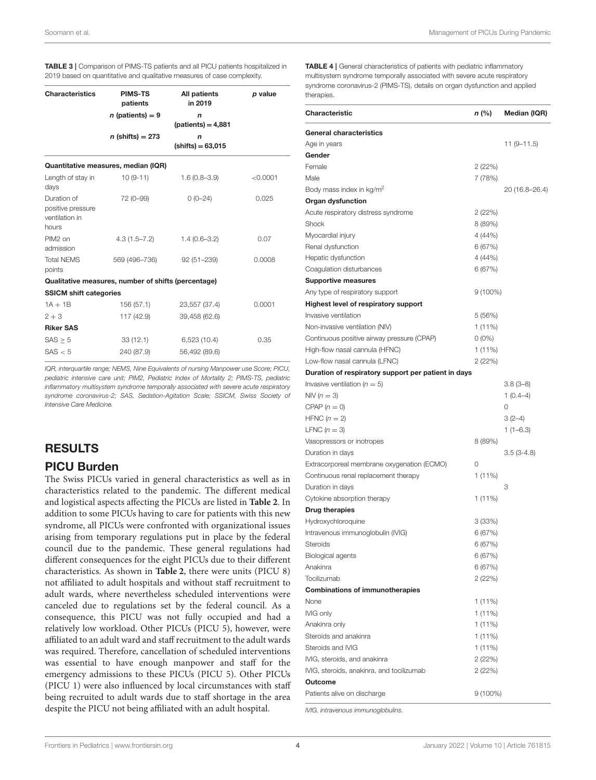<span id="page-3-0"></span>TABLE 3 | Comparison of PIMS-TS patients and all PICU patients hospitalized in 2019 based on quantitative and qualitative measures of case complexity.

| <b>PIMS-TS</b><br>patients    | All patients<br>in 2019             | p value                                                                                    |
|-------------------------------|-------------------------------------|--------------------------------------------------------------------------------------------|
| $n$ (patients) = 9            | $\mathbf n$<br>$(paths) = 4,881$    |                                                                                            |
| $n$ (shifts) = 273            | $\mathsf{n}$<br>$(shifts) = 63,015$ |                                                                                            |
|                               |                                     |                                                                                            |
| $10(9-11)$                    | $1.6(0.8 - 3.9)$                    | < 0.0001                                                                                   |
| 72 (0-99)                     | $0(0-24)$                           | 0.025                                                                                      |
| $4.3(1.5 - 7.2)$              | $1.4(0.6 - 3.2)$                    | 0.07                                                                                       |
| 569 (496-736)                 | $92(51 - 239)$                      | 0.0008                                                                                     |
|                               |                                     |                                                                                            |
| <b>SSICM shift categories</b> |                                     |                                                                                            |
| 156 (57.1)                    | 23,557 (37.4)                       | 0.0001                                                                                     |
| 117 (42.9)                    | 39,458 (62.6)                       |                                                                                            |
|                               |                                     |                                                                                            |
| 33(12.1)                      | 6,523(10.4)                         | 0.35                                                                                       |
| 240 (87.9)                    | 56,492 (89.6)                       |                                                                                            |
|                               |                                     | Quantitative measures, median (IQR)<br>Qualitative measures, number of shifts (percentage) |

IQR, interquartile range; NEMS, Nine Equivalents of nursing Manpower use Score; PICU, pediatric intensive care unit; PIM2, Pediatric Index of Mortality 2; PIMS-TS, pediatric inflammatory multisystem syndrome temporally associated with severe acute respiratory syndrome coronavirus-2; SAS, Sedation-Agitation Scale; SSICM, Swiss Society of Intensive Care Medicine.

## RESULTS

#### PICU Burden

The Swiss PICUs varied in general characteristics as well as in characteristics related to the pandemic. The different medical and logistical aspects affecting the PICUs are listed in **[Table 2](#page-2-0)**. In addition to some PICUs having to care for patients with this new syndrome, all PICUs were confronted with organizational issues arising from temporary regulations put in place by the federal council due to the pandemic. These general regulations had different consequences for the eight PICUs due to their different characteristics. As shown in **[Table 2](#page-2-0)**, there were units (PICU 8) not affiliated to adult hospitals and without staff recruitment to adult wards, where nevertheless scheduled interventions were canceled due to regulations set by the federal council. As a consequence, this PICU was not fully occupied and had a relatively low workload. Other PICUs (PICU 5), however, were affiliated to an adult ward and staff recruitment to the adult wards was required. Therefore, cancellation of scheduled interventions was essential to have enough manpower and staff for the emergency admissions to these PICUs (PICU 5). Other PICUs (PICU 1) were also influenced by local circumstances with staff being recruited to adult wards due to staff shortage in the area despite the PICU not being affiliated with an adult hospital.

<span id="page-3-1"></span>TABLE 4 | General characteristics of patients with pediatric inflammatory multisystem syndrome temporally associated with severe acute respiratory syndrome coronavirus-2 (PIMS-TS), details on organ dysfunction and applied therapies

| Characteristic                                      | n (%)      | Median (IQR)   |
|-----------------------------------------------------|------------|----------------|
| <b>General characteristics</b>                      |            |                |
| Age in years                                        |            | $11(9-11.5)$   |
| Gender                                              |            |                |
| Female                                              | 2 (22%)    |                |
| Male                                                | 7 (78%)    |                |
| Body mass index in kg/m <sup>2</sup>                |            | 20 (16.8–26.4) |
| Organ dysfunction                                   |            |                |
| Acute respiratory distress syndrome                 | 2 (22%)    |                |
| Shock                                               | 8 (89%)    |                |
| Myocardial injury                                   | 4(44%)     |                |
| Renal dysfunction                                   | 6 (67%)    |                |
| Hepatic dysfunction                                 | 4 (44%)    |                |
| Coagulation disturbances                            | 6 (67%)    |                |
| <b>Supportive measures</b>                          |            |                |
| Any type of respiratory support                     | $9(100\%)$ |                |
| Highest level of respiratory support                |            |                |
| Invasive ventilation                                | 5(56%)     |                |
| Non-invasive ventilation (NIV)                      | 1 (11%)    |                |
| Continuous positive airway pressure (CPAP)          | $0(0\%)$   |                |
| High-flow nasal cannula (HFNC)                      | $1(11\%)$  |                |
| Low-flow nasal cannula (LFNC)                       | 2(22%)     |                |
| Duration of respiratory support per patient in days |            |                |
| Invasive ventilation ( $n = 5$ )                    |            | $3.8(3-8)$     |
| NIV ( $n = 3$ )                                     |            | $1(0.4-4)$     |
| CPAP $(n = 0)$                                      |            | 0              |
| HFNC $(n = 2)$                                      |            | $3(2-4)$       |
| LFNC $(n=3)$                                        |            | $1(1-6.3)$     |
| Vasopressors or inotropes                           | 8 (89%)    |                |
| Duration in days                                    |            | $3.5(3-4.8)$   |
| Extracorporeal membrane oxygenation (ECMO)          | 0          |                |
| Continuous renal replacement therapy                | $1(11\%)$  |                |
| Duration in days                                    |            | 3              |
| Cytokine absorption therapy                         | $1(11\%)$  |                |
| <b>Drug therapies</b>                               |            |                |
| Hydroxychloroquine                                  | 3 (33%)    |                |
| Intravenous immunoglobulin (IVIG)                   | 6(67%)     |                |
| Steroids                                            | 6 (67%)    |                |
| Biological agents                                   | 6 (67%)    |                |
| Anakinra                                            | 6 (67%)    |                |
| Tocilizumab                                         | 2 (22%)    |                |
| <b>Combinations of immunotherapies</b>              |            |                |
| None                                                | 1 (11%)    |                |
| IVIG only                                           | $1(11\%)$  |                |
| Anakinra only                                       | $1(11\%)$  |                |
| Steroids and anakinra                               | $1(11\%)$  |                |
| Steroids and IVIG                                   | 1 (11%)    |                |
| IVIG, steroids, and anakinra                        | 2(22%)     |                |
| IVIG, steroids, anakinra, and tocilizumab           | 2(22%)     |                |
| <b>Outcome</b>                                      |            |                |
| Patients alive on discharge                         | $9(100\%)$ |                |
|                                                     |            |                |

IVIG, intravenous immunoglobulins.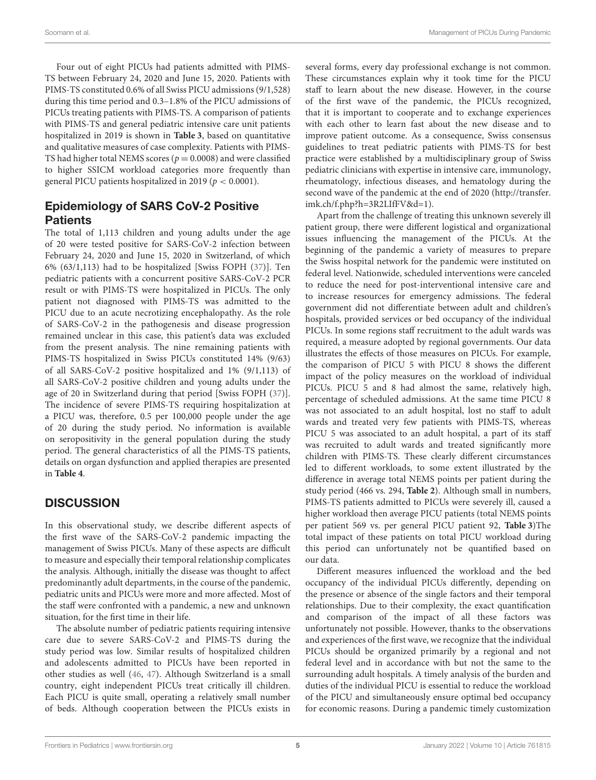Four out of eight PICUs had patients admitted with PIMS-TS between February 24, 2020 and June 15, 2020. Patients with PIMS-TS constituted 0.6% of all Swiss PICU admissions (9/1,528) during this time period and 0.3–1.8% of the PICU admissions of PICUs treating patients with PIMS-TS. A comparison of patients with PIMS-TS and general pediatric intensive care unit patients hospitalized in 2019 is shown in **[Table 3](#page-3-0)**, based on quantitative and qualitative measures of case complexity. Patients with PIMS-TS had higher total NEMS scores ( $p = 0.0008$ ) and were classified to higher SSICM workload categories more frequently than general PICU patients hospitalized in 2019 ( $p < 0.0001$ ).

# Epidemiology of SARS CoV-2 Positive **Patients**

The total of 1,113 children and young adults under the age of 20 were tested positive for SARS-CoV-2 infection between February 24, 2020 and June 15, 2020 in Switzerland, of which 6% (63/1,113) had to be hospitalized [Swiss FOPH [\(37\)](#page-6-17)]. Ten pediatric patients with a concurrent positive SARS-CoV-2 PCR result or with PIMS-TS were hospitalized in PICUs. The only patient not diagnosed with PIMS-TS was admitted to the PICU due to an acute necrotizing encephalopathy. As the role of SARS-CoV-2 in the pathogenesis and disease progression remained unclear in this case, this patient's data was excluded from the present analysis. The nine remaining patients with PIMS-TS hospitalized in Swiss PICUs constituted 14% (9/63) of all SARS-CoV-2 positive hospitalized and 1% (9/1,113) of all SARS-CoV-2 positive children and young adults under the age of 20 in Switzerland during that period [Swiss FOPH [\(37\)](#page-6-17)]. The incidence of severe PIMS-TS requiring hospitalization at a PICU was, therefore, 0.5 per 100,000 people under the age of 20 during the study period. No information is available on seropositivity in the general population during the study period. The general characteristics of all the PIMS-TS patients, details on organ dysfunction and applied therapies are presented in **[Table 4](#page-3-1)**.

# **DISCUSSION**

In this observational study, we describe different aspects of the first wave of the SARS-CoV-2 pandemic impacting the management of Swiss PICUs. Many of these aspects are difficult to measure and especially their temporal relationship complicates the analysis. Although, initially the disease was thought to affect predominantly adult departments, in the course of the pandemic, pediatric units and PICUs were more and more affected. Most of the staff were confronted with a pandemic, a new and unknown situation, for the first time in their life.

The absolute number of pediatric patients requiring intensive care due to severe SARS-CoV-2 and PIMS-TS during the study period was low. Similar results of hospitalized children and adolescents admitted to PICUs have been reported in other studies as well [\(46,](#page-6-26) [47\)](#page-6-27). Although Switzerland is a small country, eight independent PICUs treat critically ill children. Each PICU is quite small, operating a relatively small number of beds. Although cooperation between the PICUs exists in

several forms, every day professional exchange is not common. These circumstances explain why it took time for the PICU staff to learn about the new disease. However, in the course of the first wave of the pandemic, the PICUs recognized, that it is important to cooperate and to exchange experiences with each other to learn fast about the new disease and to improve patient outcome. As a consequence, Swiss consensus guidelines to treat pediatric patients with PIMS-TS for best practice were established by a multidisciplinary group of Swiss pediatric clinicians with expertise in intensive care, immunology, rheumatology, infectious diseases, and hematology during the second wave of the pandemic at the end of 2020 [\(http://transfer.](http://transfer.imk.ch/f.php?h=3R2LIfFV&d=1) [imk.ch/f.php?h=3R2LIfFV&d=1\)](http://transfer.imk.ch/f.php?h=3R2LIfFV&d=1).

Apart from the challenge of treating this unknown severely ill patient group, there were different logistical and organizational issues influencing the management of the PICUs. At the beginning of the pandemic a variety of measures to prepare the Swiss hospital network for the pandemic were instituted on federal level. Nationwide, scheduled interventions were canceled to reduce the need for post-interventional intensive care and to increase resources for emergency admissions. The federal government did not differentiate between adult and children's hospitals, provided services or bed occupancy of the individual PICUs. In some regions staff recruitment to the adult wards was required, a measure adopted by regional governments. Our data illustrates the effects of those measures on PICUs. For example, the comparison of PICU 5 with PICU 8 shows the different impact of the policy measures on the workload of individual PICUs. PICU 5 and 8 had almost the same, relatively high, percentage of scheduled admissions. At the same time PICU 8 was not associated to an adult hospital, lost no staff to adult wards and treated very few patients with PIMS-TS, whereas PICU 5 was associated to an adult hospital, a part of its staff was recruited to adult wards and treated significantly more children with PIMS-TS. These clearly different circumstances led to different workloads, to some extent illustrated by the difference in average total NEMS points per patient during the study period (466 vs. 294, **[Table 2](#page-2-0)**). Although small in numbers, PIMS-TS patients admitted to PICUs were severely ill, caused a higher workload then average PICU patients (total NEMS points per patient 569 vs. per general PICU patient 92, **[Table 3](#page-3-0)**)The total impact of these patients on total PICU workload during this period can unfortunately not be quantified based on our data.

Different measures influenced the workload and the bed occupancy of the individual PICUs differently, depending on the presence or absence of the single factors and their temporal relationships. Due to their complexity, the exact quantification and comparison of the impact of all these factors was unfortunately not possible. However, thanks to the observations and experiences of the first wave, we recognize that the individual PICUs should be organized primarily by a regional and not federal level and in accordance with but not the same to the surrounding adult hospitals. A timely analysis of the burden and duties of the individual PICU is essential to reduce the workload of the PICU and simultaneously ensure optimal bed occupancy for economic reasons. During a pandemic timely customization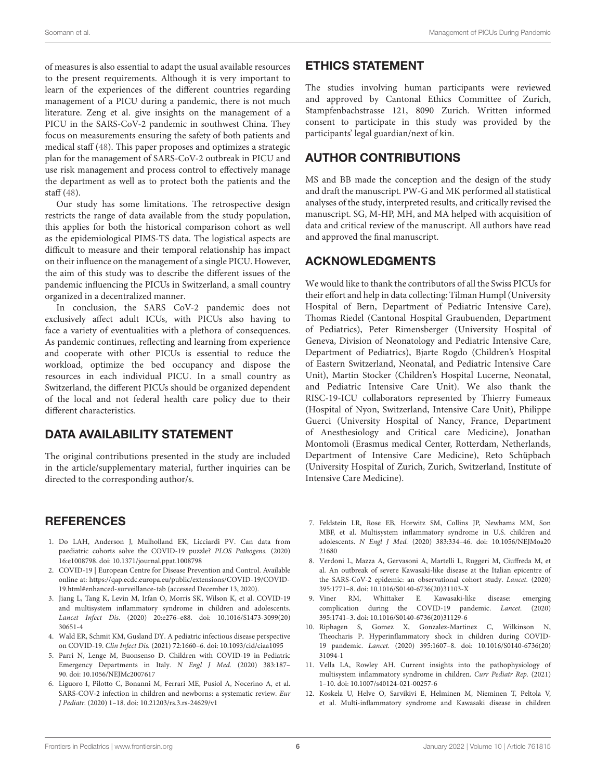of measures is also essential to adapt the usual available resources to the present requirements. Although it is very important to learn of the experiences of the different countries regarding management of a PICU during a pandemic, there is not much literature. Zeng et al. give insights on the management of a PICU in the SARS-CoV-2 pandemic in southwest China. They focus on measurements ensuring the safety of both patients and medical staff [\(48\)](#page-6-28). This paper proposes and optimizes a strategic plan for the management of SARS-CoV-2 outbreak in PICU and use risk management and process control to effectively manage the department as well as to protect both the patients and the staff [\(48\)](#page-6-28).

Our study has some limitations. The retrospective design restricts the range of data available from the study population, this applies for both the historical comparison cohort as well as the epidemiological PIMS-TS data. The logistical aspects are difficult to measure and their temporal relationship has impact on their influence on the management of a single PICU. However, the aim of this study was to describe the different issues of the pandemic influencing the PICUs in Switzerland, a small country organized in a decentralized manner.

In conclusion, the SARS CoV-2 pandemic does not exclusively affect adult ICUs, with PICUs also having to face a variety of eventualities with a plethora of consequences. As pandemic continues, reflecting and learning from experience and cooperate with other PICUs is essential to reduce the workload, optimize the bed occupancy and dispose the resources in each individual PICU. In a small country as Switzerland, the different PICUs should be organized dependent of the local and not federal health care policy due to their different characteristics.

# DATA AVAILABILITY STATEMENT

The original contributions presented in the study are included in the article/supplementary material, further inquiries can be directed to the corresponding author/s.

## **REFERENCES**

- <span id="page-5-0"></span>1. Do LAH, Anderson J, Mulholland EK, Licciardi PV. Can data from paediatric cohorts solve the COVID-19 puzzle? PLOS Pathogens. (2020) 16:e1008798. doi: [10.1371/journal.ppat.1008798](https://doi.org/10.1371/journal.ppat.1008798)
- 2. COVID-19 | European Centre for Disease Prevention and Control. Available online at: [https://qap.ecdc.europa.eu/public/extensions/COVID-19/COVID-](https://qap.ecdc.europa.eu/public/extensions/COVID-19/COVID-19.html#enhanced-surveillance-tab)[19.html#enhanced-surveillance-tab](https://qap.ecdc.europa.eu/public/extensions/COVID-19/COVID-19.html#enhanced-surveillance-tab) (accessed December 13, 2020).
- <span id="page-5-4"></span>3. Jiang L, Tang K, Levin M, Irfan O, Morris SK, Wilson K, et al. COVID-19 and multisystem inflammatory syndrome in children and adolescents. Lancet Infect Dis. [\(2020\) 20:e276–e88. doi: 10.1016/S1473-3099\(20\)](https://doi.org/10.1016/S1473-3099(20)30651-4) 30651-4
- <span id="page-5-1"></span>4. Wald ER, Schmit KM, Gusland DY. A pediatric infectious disease perspective on COVID-19. Clin Infect Dis. (2021) 72:1660–6. doi: [10.1093/cid/ciaa1095](https://doi.org/10.1093/cid/ciaa1095)
- 5. Parri N, Lenge M, Buonsenso D. Children with COVID-19 in Pediatric Emergency Departments in Italy. N Engl J Med. (2020) 383:187– 90. doi: [10.1056/NEJMc2007617](https://doi.org/10.1056/NEJMc2007617)
- <span id="page-5-2"></span>6. Liguoro I, Pilotto C, Bonanni M, Ferrari ME, Pusiol A, Nocerino A, et al. SARS-COV-2 infection in children and newborns: a systematic review. Eur J Pediatr. (2020) 1–18. doi: [10.21203/rs.3.rs-24629/v1](https://doi.org/10.21203/rs.3.rs-24629/v1)

## ETHICS STATEMENT

The studies involving human participants were reviewed and approved by Cantonal Ethics Committee of Zurich, Stampfenbachstrasse 121, 8090 Zurich. Written informed consent to participate in this study was provided by the participants' legal guardian/next of kin.

## AUTHOR CONTRIBUTIONS

MS and BB made the conception and the design of the study and draft the manuscript. PW-G and MK performed all statistical analyses of the study, interpreted results, and critically revised the manuscript. SG, M-HP, MH, and MA helped with acquisition of data and critical review of the manuscript. All authors have read and approved the final manuscript.

## ACKNOWLEDGMENTS

We would like to thank the contributors of all the Swiss PICUs for their effort and help in data collecting: Tilman Humpl (University Hospital of Bern, Department of Pediatric Intensive Care), Thomas Riedel (Cantonal Hospital Graubuenden, Department of Pediatrics), Peter Rimensberger (University Hospital of Geneva, Division of Neonatology and Pediatric Intensive Care, Department of Pediatrics), Bjarte Rogdo (Children's Hospital of Eastern Switzerland, Neonatal, and Pediatric Intensive Care Unit), Martin Stocker (Children's Hospital Lucerne, Neonatal, and Pediatric Intensive Care Unit). We also thank the RISC-19-ICU collaborators represented by Thierry Fumeaux (Hospital of Nyon, Switzerland, Intensive Care Unit), Philippe Guerci (University Hospital of Nancy, France, Department of Anesthesiology and Critical care Medicine), Jonathan Montomoli (Erasmus medical Center, Rotterdam, Netherlands, Department of Intensive Care Medicine), Reto Schüpbach (University Hospital of Zurich, Zurich, Switzerland, Institute of Intensive Care Medicine).

- <span id="page-5-3"></span>7. Feldstein LR, Rose EB, Horwitz SM, Collins JP, Newhams MM, Son MBF, et al. Multisystem inflammatory syndrome in U.S. children and adolescents. N Engl J Med. [\(2020\) 383:334–46. doi: 10.1056/NEJMoa20](https://doi.org/10.1056/NEJMoa2021680) 21680
- <span id="page-5-6"></span>8. Verdoni L, Mazza A, Gervasoni A, Martelli L, Ruggeri M, Ciuffreda M, et al. An outbreak of severe Kawasaki-like disease at the Italian epicentre of the SARS-CoV-2 epidemic: an observational cohort study. Lancet. (2020) 395:1771–8. doi: [10.1016/S0140-6736\(20\)31103-X](https://doi.org/10.1016/S0140-6736(20)31103-X)
- <span id="page-5-5"></span>9. Viner RM, Whittaker E. Kawasaki-like disease: emerging complication during the COVID-19 pandemic. Lancet. (2020) 395:1741–3. doi: [10.1016/S0140-6736\(20\)31129-6](https://doi.org/10.1016/S0140-6736(20)31129-6)
- 10. Riphagen S, Gomez X, Gonzalez-Martinez C, Wilkinson N, Theocharis P. Hyperinflammatory shock in children during COVID-19 pandemic. Lancet. [\(2020\) 395:1607–8. doi: 10.1016/S0140-6736\(20\)](https://doi.org/10.1016/S0140-6736(20)31094-1) 31094-1
- 11. Vella LA, Rowley AH. Current insights into the pathophysiology of multisystem inflammatory syndrome in children. Curr Pediatr Rep. (2021) 1–10. doi: [10.1007/s40124-021-00257-6](https://doi.org/10.1007/s40124-021-00257-6)
- 12. Koskela U, Helve O, Sarvikivi E, Helminen M, Nieminen T, Peltola V, et al. Multi-inflammatory syndrome and Kawasaki disease in children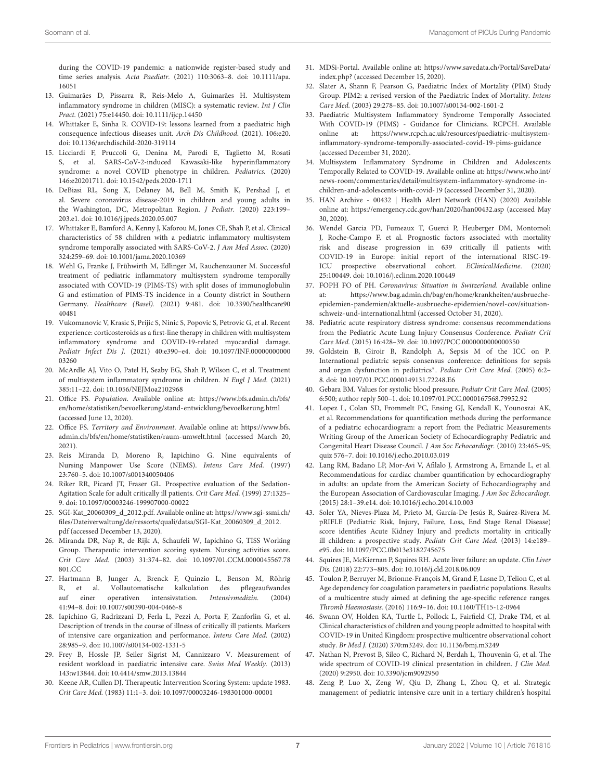during the COVID-19 pandemic: a nationwide register-based study and time series analysis. Acta Paediatr. [\(2021\) 110:3063–8. doi: 10.1111/apa.](https://doi.org/10.1111/apa.16051) 16051

- <span id="page-6-0"></span>13. Guimarães D, Pissarra R, Reis-Melo A, Guimarães H. Multisystem inflammatory syndrome in children (MISC): a systematic review. Int J Clin Pract. (2021) 75:e14450. doi: [10.1111/ijcp.14450](https://doi.org/10.1111/ijcp.14450)
- 14. Whittaker E, Sinha R. COVID-19: lessons learned from a paediatric high consequence infectious diseases unit. Arch Dis Childhood. (2021). 106:e20. doi: [10.1136/archdischild-2020-319114](https://doi.org/10.1136/archdischild-2020-319114)
- 15. Licciardi F, Pruccoli G, Denina M, Parodi E, Taglietto M, Rosati S, et al. SARS-CoV-2-induced Kawasaki-like hyperinflammatory syndrome: a novel COVID phenotype in children. Pediatrics. (2020) 146:e20201711. doi: [10.1542/peds.2020-1711](https://doi.org/10.1542/peds.2020-1711)
- <span id="page-6-1"></span>16. DeBiasi RL, Song X, Delaney M, Bell M, Smith K, Pershad J, et al. Severe coronavirus disease-2019 in children and young adults in the Washington, DC, Metropolitan Region. J Pediatr. (2020) 223:199– 203.e1. doi: [10.1016/j.jpeds.2020.05.007](https://doi.org/10.1016/j.jpeds.2020.05.007)
- <span id="page-6-2"></span>17. Whittaker E, Bamford A, Kenny J, Kaforou M, Jones CE, Shah P, et al. Clinical characteristics of 58 children with a pediatric inflammatory multisystem syndrome temporally associated with SARS-CoV-2. J Am Med Assoc. (2020) 324:259–69. doi: [10.1001/jama.2020.10369](https://doi.org/10.1001/jama.2020.10369)
- 18. Wehl G, Franke J, Frühwirth M, Edlinger M, Rauchenzauner M. Successful treatment of pediatric inflammatory multisystem syndrome temporally associated with COVID-19 (PIMS-TS) with split doses of immunoglobulin G and estimation of PIMS-TS incidence in a County district in Southern Germany. Healthcare (Basel). [\(2021\) 9:481. doi: 10.3390/healthcare90](https://doi.org/10.3390/healthcare9040481) 40481
- 19. Vukomanovic V, Krasic S, Prijic S, Ninic S, Popovic S, Petrovic G, et al. Recent experience: corticosteroids as a first-line therapy in children with multisystem inflammatory syndrome and COVID-19-related myocardial damage. Pediatr Infect Dis J. [\(2021\) 40:e390–e4. doi: 10.1097/INF.00000000000](https://doi.org/10.1097/INF.0000000000003260) 03260
- <span id="page-6-3"></span>20. McArdle AJ, Vito O, Patel H, Seaby EG, Shah P, Wilson C, et al. Treatment of multisystem inflammatory syndrome in children. N Engl J Med. (2021) 385:11–22. doi: [10.1056/NEJMoa2102968](https://doi.org/10.1056/NEJMoa2102968)
- <span id="page-6-4"></span>21. Office FS. Population. Available online at: [https://www.bfs.admin.ch/bfs/](https://www.bfs.admin.ch/bfs/en/home/statistiken/bevoelkerung/stand-entwicklung/bevoelkerung.html) [en/home/statistiken/bevoelkerung/stand-entwicklung/bevoelkerung.html](https://www.bfs.admin.ch/bfs/en/home/statistiken/bevoelkerung/stand-entwicklung/bevoelkerung.html) (accessed June 12, 2020).
- <span id="page-6-5"></span>22. Office FS. Territory and Environment. Available online at: [https://www.bfs.](https://www.bfs.admin.ch/bfs/en/home/statistiken/raum-umwelt.html) [admin.ch/bfs/en/home/statistiken/raum-umwelt.html](https://www.bfs.admin.ch/bfs/en/home/statistiken/raum-umwelt.html) (accessed March 20, 2021).
- <span id="page-6-6"></span>23. Reis Miranda D, Moreno R, Iapichino G. Nine equivalents of Nursing Manpower Use Score (NEMS). Intens Care Med. (1997) 23:760–5. doi: [10.1007/s001340050406](https://doi.org/10.1007/s001340050406)
- <span id="page-6-10"></span>24. Riker RR, Picard JT, Fraser GL. Prospective evaluation of the Sedation-Agitation Scale for adult critically ill patients. Crit Care Med. (1999) 27:1325-9. doi: [10.1097/00003246-199907000-00022](https://doi.org/10.1097/00003246-199907000-00022)
- <span id="page-6-7"></span>25. SGI-Kat\_20060309\_d\_2012.pdf. Available online at: [https://www.sgi-ssmi.ch/](https://www.sgi-ssmi.ch/files/Dateiverwaltung/de/ressorts/quali/datsa/SGI-Kat_20060309_d_2012.pdf) [files/Dateiverwaltung/de/ressorts/quali/datsa/SGI-Kat\\_20060309\\_d\\_2012.](https://www.sgi-ssmi.ch/files/Dateiverwaltung/de/ressorts/quali/datsa/SGI-Kat_20060309_d_2012.pdf) [pdf](https://www.sgi-ssmi.ch/files/Dateiverwaltung/de/ressorts/quali/datsa/SGI-Kat_20060309_d_2012.pdf) (accessed December 13, 2020).
- <span id="page-6-8"></span>26. Miranda DR, Nap R, de Rijk A, Schaufeli W, Iapichino G, TISS Working Group. Therapeutic intervention scoring system. Nursing activities score. Crit Care Med. [\(2003\) 31:374–82. doi: 10.1097/01.CCM.0000045567.78](https://doi.org/10.1097/01.CCM.0000045567.78801.CC) 801.CC
- 27. Hartmann B, Junger A, Brenck F, Quinzio L, Benson M, Röhrig R, et al. Vollautomatische kalkulation des pflegeaufwandes auf einer operativen intensivstation. Intensivmedizin. (2004) 41:94–8. doi: [10.1007/s00390-004-0466-8](https://doi.org/10.1007/s00390-004-0466-8)
- 28. Iapichino G, Radrizzani D, Ferla L, Pezzi A, Porta F, Zanforlin G, et al. Description of trends in the course of illness of critically ill patients. Markers of intensive care organization and performance. Intens Care Med. (2002) 28:985–9. doi: [10.1007/s00134-002-1331-5](https://doi.org/10.1007/s00134-002-1331-5)
- 29. Frey B, Hossle JP, Seiler Sigrist M, Cannizzaro V. Measurement of resident workload in paediatric intensive care. Swiss Med Weekly. (2013) 143:w13844. doi: [10.4414/smw.2013.13844](https://doi.org/10.4414/smw.2013.13844)
- <span id="page-6-9"></span>30. Keene AR, Cullen DJ. Therapeutic Intervention Scoring System: update 1983. Crit Care Med. (1983) 11:1–3. doi: [10.1097/00003246-198301000-00001](https://doi.org/10.1097/00003246-198301000-00001)
- <span id="page-6-11"></span>31. MDSi-Portal. Available online at: [https://www.savedata.ch/Portal/SaveData/](https://www.savedata.ch/Portal/SaveData/index.php?) [index.php?](https://www.savedata.ch/Portal/SaveData/index.php?) (accessed December 15, 2020).
- <span id="page-6-12"></span>32. Slater A, Shann F, Pearson G, Paediatric Index of Mortality (PIM) Study Group. PIM2: a revised version of the Paediatric Index of Mortality. Intens Care Med. (2003) 29:278–85. doi: [10.1007/s00134-002-1601-2](https://doi.org/10.1007/s00134-002-1601-2)
- <span id="page-6-13"></span>33. Paediatric Multisystem Inflammatory Syndrome Temporally Associated With COVID-19 (PIMS) - Guidance for Clinicians. RCPCH. Available online at: [https://www.rcpch.ac.uk/resources/paediatric-multisystem](https://www.rcpch.ac.uk/resources/paediatric-multisystem-inflammatory-syndrome-temporally-associated-covid-19-pims-guidance)[inflammatory-syndrome-temporally-associated-covid-19-pims-guidance](https://www.rcpch.ac.uk/resources/paediatric-multisystem-inflammatory-syndrome-temporally-associated-covid-19-pims-guidance) (accessed December 31, 2020).
- <span id="page-6-14"></span>34. Multisystem Inflammatory Syndrome in Children and Adolescents Temporally Related to COVID-19. Available online at: [https://www.who.int/](https://www.who.int/news-room/commentaries/detail/multisystem-inflammatory-syndrome-in-children-and-adolescents-with-covid-19) [news-room/commentaries/detail/multisystem-inflammatory-syndrome-in](https://www.who.int/news-room/commentaries/detail/multisystem-inflammatory-syndrome-in-children-and-adolescents-with-covid-19)[children-and-adolescents-with-covid-19](https://www.who.int/news-room/commentaries/detail/multisystem-inflammatory-syndrome-in-children-and-adolescents-with-covid-19) (accessed December 31, 2020).
- <span id="page-6-15"></span>35. HAN Archive - 00432 | Health Alert Network (HAN) (2020) Available online at:<https://emergency.cdc.gov/han/2020/han00432.asp> (accessed May 30, 2020).
- <span id="page-6-16"></span>36. Wendel Garcia PD, Fumeaux T, Guerci P, Heuberger DM, Montomoli J, Roche-Campo F, et al. Prognostic factors associated with mortality risk and disease progression in 639 critically ill patients with COVID-19 in Europe: initial report of the international RISC-19- ICU prospective observational cohort. EClinicalMedicine. (2020) 25:100449. doi: [10.1016/j.eclinm.2020.100449](https://doi.org/10.1016/j.eclinm.2020.100449)
- <span id="page-6-17"></span>37. FOPH FO of PH. Coronavirus: Situation in Switzerland. Available online at: [https://www.bag.admin.ch/bag/en/home/krankheiten/ausbrueche](https://www.bag.admin.ch/bag/en/home/krankheiten/ausbrueche-epidemien-pandemien/aktuelle-ausbrueche-epidemien/novel-cov/situation-schweiz-und-international.html)[epidemien-pandemien/aktuelle-ausbrueche-epidemien/novel-cov/situation](https://www.bag.admin.ch/bag/en/home/krankheiten/ausbrueche-epidemien-pandemien/aktuelle-ausbrueche-epidemien/novel-cov/situation-schweiz-und-international.html)[schweiz-und-international.html](https://www.bag.admin.ch/bag/en/home/krankheiten/ausbrueche-epidemien-pandemien/aktuelle-ausbrueche-epidemien/novel-cov/situation-schweiz-und-international.html) (accessed October 31, 2020).
- <span id="page-6-18"></span>38. Pediatric acute respiratory distress syndrome: consensus recommendations from the Pediatric Acute Lung Injury Consensus Conference. Pediatr Crit Care Med. (2015) 16:428–39. doi: [10.1097/PCC.0000000000000350](https://doi.org/10.1097/PCC.0000000000000350)
- <span id="page-6-19"></span>39. Goldstein B, Giroir B, Randolph A, Sepsis M of the ICC on P. International pediatric sepsis consensus conference: definitions for sepsis and organ dysfunction in pediatrics<sup>\*</sup>. Pediatr Crit Care Med. (2005) 6:2-8. doi: [10.1097/01.PCC.0000149131.72248.E6](https://doi.org/10.1097/01.PCC.0000149131.72248.E6)
- <span id="page-6-20"></span>40. Gebara BM. Values for systolic blood pressure. Pediatr Crit Care Med. (2005) 6:500; author reply 500–1. doi: [10.1097/01.PCC.0000167568.79952.92](https://doi.org/10.1097/01.PCC.0000167568.79952.92)
- <span id="page-6-21"></span>41. Lopez L, Colan SD, Frommelt PC, Ensing GJ, Kendall K, Younoszai AK, et al. Recommendations for quantification methods during the performance of a pediatric echocardiogram: a report from the Pediatric Measurements Writing Group of the American Society of Echocardiography Pediatric and Congenital Heart Disease Council. J Am Soc Echocardiogr. (2010) 23:465–95; quiz 576–7. doi: [10.1016/j.echo.2010.03.019](https://doi.org/10.1016/j.echo.2010.03.019)
- <span id="page-6-22"></span>42. Lang RM, Badano LP, Mor-Avi V, Afilalo J, Armstrong A, Ernande L, et al. Recommendations for cardiac chamber quantification by echocardiography in adults: an update from the American Society of Echocardiography and the European Association of Cardiovascular Imaging. J Am Soc Echocardiogr. (2015) 28:1–39.e14. doi: [10.1016/j.echo.2014.10.003](https://doi.org/10.1016/j.echo.2014.10.003)
- <span id="page-6-23"></span>43. Soler YA, Nieves-Plaza M, Prieto M, García-De Jesús R, Suárez-Rivera M. pRIFLE (Pediatric Risk, Injury, Failure, Loss, End Stage Renal Disease) score identifies Acute Kidney Injury and predicts mortality in critically ill children: a prospective study. Pediatr Crit Care Med. (2013) 14:e189– e95. doi: [10.1097/PCC.0b013e3182745675](https://doi.org/10.1097/PCC.0b013e3182745675)
- <span id="page-6-24"></span>44. Squires JE, McKiernan P, Squires RH. Acute liver failure: an update. Clin Liver Dis. (2018) 22:773–805. doi: [10.1016/j.cld.2018.06.009](https://doi.org/10.1016/j.cld.2018.06.009)
- <span id="page-6-25"></span>45. Toulon P, Berruyer M, Brionne-François M, Grand F, Lasne D, Telion C, et al. Age dependency for coagulation parameters in paediatric populations. Results of a multicentre study aimed at defining the age-specific reference ranges. Thromb Haemostasis. (2016) 116:9–16. doi: [10.1160/TH15-12-0964](https://doi.org/10.1160/TH15-12-0964)
- <span id="page-6-26"></span>46. Swann OV, Holden KA, Turtle L, Pollock L, Fairfield CJ, Drake TM, et al. Clinical characteristics of children and young people admitted to hospital with COVID-19 in United Kingdom: prospective multicentre observational cohort study. Br Med J. (2020) 370:m3249. doi: [10.1136/bmj.m3249](https://doi.org/10.1136/bmj.m3249)
- <span id="page-6-27"></span>47. Nathan N, Prevost B, Sileo C, Richard N, Berdah L, Thouvenin G, et al. The wide spectrum of COVID-19 clinical presentation in children. J Clin Med. (2020) 9:2950. doi: [10.3390/jcm9092950](https://doi.org/10.3390/jcm9092950)
- <span id="page-6-28"></span>48. Zeng P, Luo X, Zeng W, Qiu D, Zhang L, Zhou Q, et al. Strategic management of pediatric intensive care unit in a tertiary children's hospital